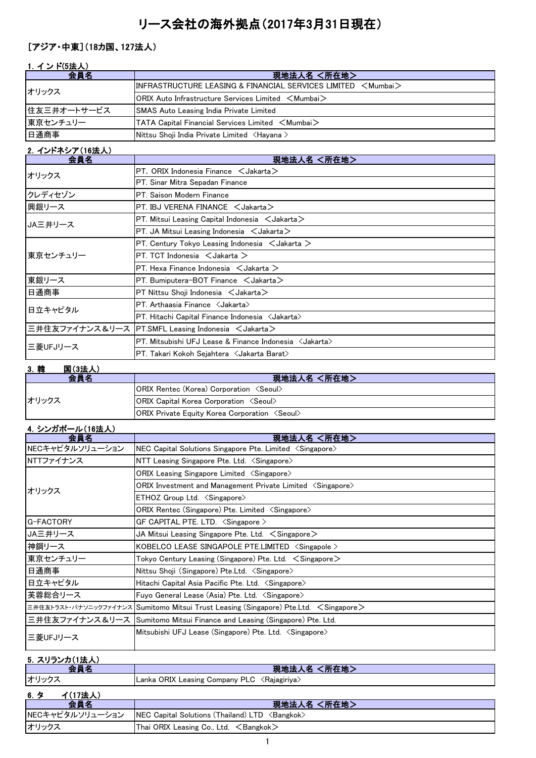# リース会社の海外拠点(2017年3月31日現在)

### [アジア・中東](18カ国、127法人)

|  |  | ンド(5法人) |
|--|--|---------|
|  |  |         |

| 会員名         | 現地法人名 <所在地>                                                           |
|-------------|-----------------------------------------------------------------------|
| オリックス       | $\textsf{IINFRASTRUCTURE LEASING & FINANCIAL SERIES LIMITED < Mumba}$ |
|             | $\sf{IORIX}$ Auto Infrastructure Services Limited $\,<$ Mumbai $>$    |
| 住友三井オートサービス | <b>SMAS Auto Leasing India Private Limited</b>                        |
| 東京センチュリー    | <b>TATA Capital Financial Services Limited <mumbai></mumbai></b>      |
| 日通商事        | Nittsu Shoji India Private Limited <hayana></hayana>                  |

### 2.インドネシア(16法人)

| 会員名      | 現地法人名 <所在地>                                                      |
|----------|------------------------------------------------------------------|
| オリックス    | PT. ORIX Indonesia Finance $\leq$ Jakarta $\geq$                 |
|          | PT. Sinar Mitra Sepadan Finance                                  |
| クレディセゾン  | PT. Saison Modern Finance                                        |
| 興銀リース    | PT. IBJ VERENA FINANCE $\lt$ Jakarta $>$                         |
| JA三井リース  | PT. Mitsui Leasing Capital Indonesia $\leq$ Jakarta $\geq$       |
|          | PT. JA Mitsui Leasing Indonesia $\leq$ Jakarta $\geq$            |
|          | PT. Century Tokyo Leasing Indonesia $\lt$ Jakarta $\gt$          |
| 東京センチュリー | PT. TCT Indonesia $\lt$ Jakarta $\gt$                            |
|          | PT. Hexa Finance Indonesia $\leq$ Jakarta $\geq$                 |
| 東銀リース    | PT. Bumiputera-BOT Finance $\lt$ Jakarta $\gt$                   |
| 日通商事     | $PT$ Nittsu Shoji Indonesia $\lt$ Jakarta $\gt$                  |
| 日立キャピタル  | PT. Arthaasia Finance <jakarta></jakarta>                        |
|          | PT. Hitachi Capital Finance Indonesia < Jakarta>                 |
|          | 三井住友ファイナンス&リース  PT.SMFL Leasing Indonesia <jakarta></jakarta>    |
| 三菱UFJリース | PT. Mitsubishi UFJ Lease & Finance Indonesia <jakarta></jakarta> |
|          | PT. Takari Kokoh Sejahtera 〈Jakarta Barat〉                       |

#### 3.韓 国(3法人)

| ---<br>_______<br>会員名 | 現地法人名 <所在地>                                                  |
|-----------------------|--------------------------------------------------------------|
|                       | <b>ORIX Rentec (Korea) Corporation <seoul></seoul></b>       |
| オリックス                 | <b>ORIX Capital Korea Corporation <seoul></seoul></b>        |
|                       | <b>ORIX Private Equity Korea Corporation <seoul></seoul></b> |

# 4.シンガポール(16法人)

| 会員名             | 現地法人名 <所在地>                                                                           |
|-----------------|---------------------------------------------------------------------------------------|
| NECキャピタルソリューション | NEC Capital Solutions Singapore Pte. Limited <singapore></singapore>                  |
| NTTファイナンス       | NTT Leasing Singapore Pte. Ltd. $\langle$ Singapore $\rangle$                         |
|                 | ORIX Leasing Singapore Limited $\langle$ Singapore $\rangle$                          |
| オリックス           | ORIX Investment and Management Private Limited $\langle$ Singapore $\rangle$          |
|                 | ETHOZ Group Ltd. <singapore></singapore>                                              |
|                 | ORIX Rentec (Singapore) Pte. Limited <singapore></singapore>                          |
| G-FACTORY       | GF CAPITAL PTE. LTD. $\langle$ Singapore $\rangle$                                    |
| <b>JA三井リース</b>  | JA Mitsui Leasing Singapore Pte. Ltd. $\, <$ Singapore $>$                            |
| 神鋼リース           | KOBELCO LEASE SINGAPOLE PTE.LIMITED $\langle$ Singapole $\rangle$                     |
| 東京センチュリー        | Tokyo Century Leasing (Singapore) Pte. Ltd. $\, <$ Singapore $>$                      |
| 日通商事            | Nittsu Shoji (Singapore) Pte.Ltd. < Singapore>                                        |
| 日立キャピタル         | Hitachi Capital Asia Pacific Pte. Ltd. <singapore></singapore>                        |
| 芙蓉総合リース         | Fuyo General Lease (Asia) Pte. Ltd. <singapore></singapore>                           |
|                 | 三井住友トラスト・パナソニックファイナンス Sumitomo Mitsui Trust Leasing (Singapore) Pte.Ltd. < Singapore> |
|                 | 三井住友ファイナンス&リース  Sumitomo Mitsui Finance and Leasing (Singapore) Pte. Ltd.             |
| 三菱UFJリース        | Mitsubishi UFJ Lease (Singapore) Pte. Ltd. <singapore></singapore>                    |

#### 5.スリランカ(1法人)

| 会員名             | 現地法人名 <所在地>                                                |
|-----------------|------------------------------------------------------------|
| オリックス           | Lanka ORIX Leasing Company PLC <rajagiriya></rajagiriya>   |
| イ(17法人)<br>6. タ |                                                            |
| 会員名             | 現地法人名 <所在地>                                                |
| NECキャピタルソリューション | $ NEC$ Capital Solutions (Thailand) $LTD \leq$ Bangkok $>$ |
| オリックス           | Thai ORIX Leasing Co., Ltd. $\leq$ Bangkok $>$             |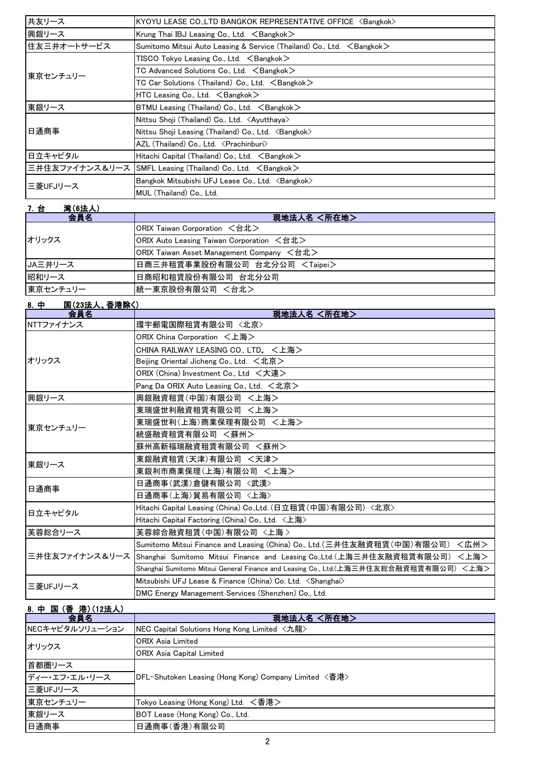| 共友リース       | KYOYU LEASE CO.,LTD BANGKOK REPRESENTATIVE OFFICE <bangkok></bangkok>           |
|-------------|---------------------------------------------------------------------------------|
| 興銀リース       | Krung Thai IBJ Leasing Co., Ltd. <bangkok></bangkok>                            |
| 住友三井オートサービス | Sumitomo Mitsui Auto Leasing & Service (Thailand) Co., Ltd. <bangkok></bangkok> |
|             | $TISCO$ Tokyo Leasing Co., Ltd. $\leq$ Bangkok $>$                              |
| 東京センチュリー    | TC Advanced Solutions Co., Ltd. $\, <$ Bangkok $>$                              |
|             | TC Car Solutions (Thailand) Co., Ltd. <bangkok></bangkok>                       |
|             | HTC Leasing Co., Ltd. $\leq$ Bangkok $>$                                        |
| 東銀リース       | BTMU Leasing (Thailand) Co., Ltd. $\leq$ Bangkok $\geq$                         |
|             | Nittsu Shoji (Thailand) Co., Ltd. <ayutthaya></ayutthaya>                       |
| 日通商事        | Nittsu Shoji Leasing (Thailand) Co., Ltd. <bangkok></bangkok>                   |
|             | AZL (Thailand) Co., Ltd. < Prachinburi>                                         |
| 日立キャピタル     | Hitachi Capital (Thailand) Co., Ltd. $\leq$ Bangkok $\geq$                      |
|             | 三井住友ファイナンス&リース SMFL Leasing (Thailand) Co., Ltd. <bangkok></bangkok>            |
| 三菱UFJリース    | Bangkok Mitsubishi UFJ Lease Co., Ltd. <bangkok></bangkok>                      |
|             | MUL (Thailand) Co., Ltd.                                                        |

| <u>7. 台</u><br>湾(6法人) |                                           |
|-----------------------|-------------------------------------------|
| 会員名                   | 現地法人名 <所在地>                               |
|                       | ORIX Taiwan Corporation <台北>              |
| オリックス                 | ORIX Auto Leasing Taiwan Corporation <台北> |
|                       | ORIX Taiwan Asset Management Company <台北> |
| JA三井リース               | 日商三井租賃事業股份有限公司 台北分公司 <taipei></taipei>    |
| 昭和リース                 | 日商昭和租賃股份有限公司 台北分公司                        |
| 東京センチュリー              | 統一東京股份有限公司 <台北>                           |

### 8.中 国(23法人、香港除く)

| 会員名       | 現地法人名 <所在地>                                                                                  |
|-----------|----------------------------------------------------------------------------------------------|
| NTTファイナンス | 環宇郵電国際租賃有限公司 <北京>                                                                            |
|           | ORIX China Corporation <上海>                                                                  |
|           | CHINA RAILWAY LEASING CO., LTD. <上海>                                                         |
| オリックス     | Beijing Oriental Jicheng Co., Ltd. <北京>                                                      |
|           | ORIX (China) Investment Co., Ltd <大連>                                                        |
|           | Pang Da ORIX Auto Leasing Co., Ltd. <北京>                                                     |
| 興銀リース     | 興銀融資租賃(中国)有限公司 <上海>                                                                          |
|           | 東瑞盛世利融資租賃有限公司 <上海>                                                                           |
| 東京センチュリー  | 東瑞盛世利(上海)商業保理有限公司 <上海>                                                                       |
|           | 統盛融資租賃有限公司 <蘇州>                                                                              |
|           | 蘇州高新福瑞融資租賃有限公司 <蘇州>                                                                          |
| 東銀リース     | 東銀融資租賃(天津)有限公司 <天津>                                                                          |
|           | 東銀利市商業保理(上海)有限公司 <上海>                                                                        |
| 日通商事      | 日通商事(武漢)倉儲有限公司 〈武漢〉                                                                          |
|           | 日通商事(上海)貿易有限公司 〈上海〉                                                                          |
| 日立キャピタル   | Hitachi Capital Leasing (China) Co.,Ltd. (日立租賃 (中国) 有限公司) <北京>                               |
|           | Hitachi Capital Factoring (China) Co., Ltd. <上海>                                             |
| 芙蓉総合リース   | 芙蓉綜合融資租賃(中国)有限公司 〈上海 〉                                                                       |
|           | <広州><br>Sumitomo Mitsui Finance and Leasing (China) Co., Ltd. (三井住友融資租賃 (中国) 有限公司)           |
|           | 三井住友ファイナンス&リース Shanghai Sumitomo Mitsui Finance and Leasing Co.,Ltd.(上海三井住友融資租賃有限公司)<br><上海> |
|           | Shanghai Sumitomo Mitsui General Finance and Leasing Co., Ltd.(上海三井住友総合融資租賃有限公司)<上海>         |
| 三菱UFJリース  | Mitsubishi UFJ Lease & Finance (China) Co. Ltd. <shanghai></shanghai>                        |
|           | DMC Energy Management Services (Shenzhen) Co., Ltd.                                          |

## 8.中 国 (香 港)(12法人)

| <b>0. 〒 曽 (目 ) 宿/ \ 14/4/\/</b><br>会員名 | 現地法人名 <所在地>                                           |
|----------------------------------------|-------------------------------------------------------|
| NECキャピタルソリューション                        | NEC Capital Solutions Hong Kong Limited <九龍>          |
| オリックス                                  | <b>ORIX Asia Limited</b>                              |
|                                        | <b>ORIX Asia Capital Limited</b>                      |
| 首都圏リース                                 |                                                       |
| ディー・エフ・エル・リース                          | DFL-Shutoken Leasing (Hong Kong) Company Limited <香港> |
| ニ菱UFJリース                               |                                                       |
| 東京センチュリー                               | Tokyo Leasing (Hong Kong) Ltd. <香港>                   |
| 東銀リース                                  | BOT Lease (Hong Kong) Co., Ltd.                       |
| 日通商事                                   | 日通商事(香港)有限公司                                          |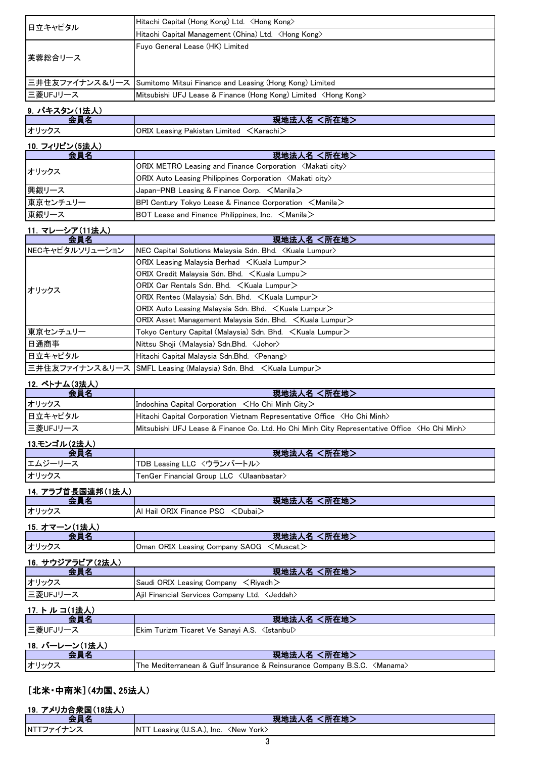| 日立キャピタル                      | Hitachi Capital (Hong Kong) Ltd. ∠Hong Kong>                                                                   |
|------------------------------|----------------------------------------------------------------------------------------------------------------|
|                              | Hitachi Capital Management (China) Ltd. <hong kong=""></hong>                                                  |
| 芙蓉総合リース                      | Fuyo General Lease (HK) Limited                                                                                |
| 三井住友ファイナンス&リース               | Sumitomo Mitsui Finance and Leasing (Hong Kong) Limited                                                        |
| 三菱UFJリース                     | Mitsubishi UFJ Lease & Finance (Hong Kong) Limited <hong kong=""></hong>                                       |
| 9. パキスタン(1法人)                |                                                                                                                |
| 会員名                          | 現地法人名 <所在地>                                                                                                    |
| オリックス                        | ORIX Leasing Pakistan Limited <karachi></karachi>                                                              |
|                              |                                                                                                                |
| <u>10. フィリピン(5法人)</u><br>会員名 | 現地法人名 <所在地>                                                                                                    |
|                              | ORIX METRO Leasing and Finance Corporation <makati city=""></makati>                                           |
| オリックス                        | ORIX Auto Leasing Philippines Corporation $\langle$ Makati city $\rangle$                                      |
| 興銀リース                        | Japan-PNB Leasing & Finance Corp. <manila></manila>                                                            |
| 東京センチュリー                     | BPI Century Tokyo Lease & Finance Corporation <manila></manila>                                                |
| 東銀リース                        | BOT Lease and Finance Philippines, Inc. $\leq$ Manila $\geq$                                                   |
|                              |                                                                                                                |
| 11. マレーシア(11法人)              |                                                                                                                |
| 会員名<br>NECキャピタルソリューション       | 現地法人名 <所在地><br>NEC Capital Solutions Malaysia Sdn. Bhd. < Kuala Lumpur>                                        |
|                              |                                                                                                                |
|                              | ORIX Leasing Malaysia Berhad <kuala lumpur=""><br/>ORIX Credit Malaysia Sdn. Bhd. &lt; Kuala Lumpu&gt;</kuala> |
|                              | ORIX Car Rentals Sdn. Bhd. < Kuala Lumpur>                                                                     |
| オリックス                        |                                                                                                                |
|                              | ORIX Rentec (Malaysia) Sdn. Bhd. < Kuala Lumpur>                                                               |
|                              |                                                                                                                |
| 東京センチュリー                     | ORIX Asset Management Malaysia Sdn. Bhd. <kuala lumpur=""></kuala>                                             |
|                              | Tokyo Century Capital (Malaysia) Sdn. Bhd. <kuala lumpur=""></kuala>                                           |
| 日通商事                         | Nittsu Shoji (Malaysia) Sdn.Bhd. < Johor>                                                                      |
| 日立キャピタル                      | Hitachi Capital Malaysia Sdn.Bhd. 〈Penang〉                                                                     |
| 三井住友ファイナンス&リース               | SMFL Leasing (Malaysia) Sdn. Bhd. < Kuala Lumpur>                                                              |
| <u>12. ベトナム(3法人)</u>         |                                                                                                                |
| 会員名                          | 現地法人名 <所在地>                                                                                                    |
| オリックス                        | Indochina Capital Corporation <ho chi="" city="" minh=""></ho>                                                 |
| 日立キャピタル                      | Hitachi Capital Corporation Vietnam Representative Office <ho chi="" minh=""></ho>                             |
| 三菱UFJリース                     | Mitsubishi UFJ Lease & Finance Co. Ltd. Ho Chi Minh City Representative Office <ho chi="" minh=""></ho>        |
| <u>13.モンゴル(2法人)</u>          |                                                                                                                |
| 会員名                          | 現地法人名 <所在地>                                                                                                    |
| エムジーリース                      | TDB Leasing LLC 〈ウランバートル〉                                                                                      |
| オリックス                        | TenGer Financial Group LLC 〈Ulaanbaatar〉                                                                       |
| <u>14. アラブ首長国連邦(1法人)</u>     |                                                                                                                |
| 会員名                          | 現地法人名 <所在地>                                                                                                    |
| オリックス                        | Al Hail ORIX Finance PSC < Dubai>                                                                              |
| <u>15. オマーン(1法人)</u>         |                                                                                                                |
| 会員名                          | 現地法人名 <所在地>                                                                                                    |
| オリックス                        | Oman ORIX Leasing Company SAOG <muscat></muscat>                                                               |
| <u>16. サウジアラビア(2法人)</u>      |                                                                                                                |
| 会員名                          | 現地法人名 <所在地>                                                                                                    |
| オリックス                        | Saudi ORIX Leasing Company <riyadh></riyadh>                                                                   |
| 三菱UFJリース                     | Ajil Financial Services Company Ltd. <jeddah></jeddah>                                                         |
| <u>17. トルコ(1法人)</u>          |                                                                                                                |
| 会員名                          | 現地法人名 <所在地>                                                                                                    |
| 三菱UFJリース                     | Ekim Turizm Ticaret Ve Sanayi A.S. <istanbul></istanbul>                                                       |
| <u>18. バーレーン(1法人)</u>        |                                                                                                                |
| 会員名                          | 現地法人名 <所在地>                                                                                                    |
| オリックス                        | The Mediterranean & Gulf Insurance & Reinsurance Company B.S.C. < Manama>                                      |
|                              |                                                                                                                |

### [北米・中南米](4カ国、25法人) 19.アメリカ合衆国(18法人)

| IJ.<br>「 ノリカ音 氷 国 ( 18)広人 |                                                                          |
|---------------------------|--------------------------------------------------------------------------|
|                           | ما ہے۔<br>an a<br>.                                                      |
| $NT^{\tau}$               | <new<br>York&gt;<br/>ΝI<br/>Leasing<br/>ণ (U.S.A.<i>)</i>, Inc.</new<br> |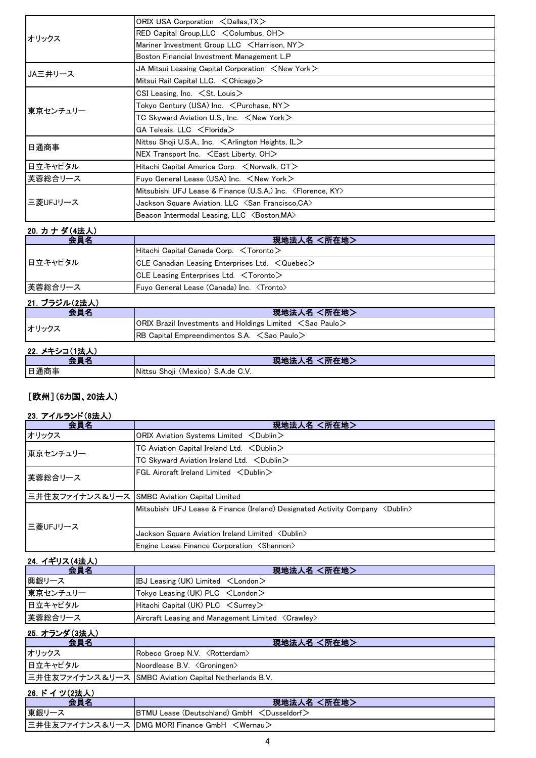| オリックス    | ORIX USA Corporation <dallas, tx=""></dallas,>                             |  |
|----------|----------------------------------------------------------------------------|--|
|          | RED Capital Group, LLC $\leq$ Columbus, OH $>$                             |  |
|          | Mariner Investment Group LLC <harrison, ny=""></harrison,>                 |  |
|          | Boston Financial Investment Management L.P                                 |  |
| JA三井リース  | JA Mitsui Leasing Capital Corporation $\leq$ New York $\geq$               |  |
|          | Mitsui Rail Capital LLC. $\lt$ Chicago $>$                                 |  |
| 東京センチュリー | CSI Leasing, Inc. $\leq$ St. Louis $>$                                     |  |
|          | Tokyo Century (USA) Inc. $\, <$ Purchase, NY $>$                           |  |
|          | TC Skyward Aviation U.S., Inc. $\leq$ New York $\geq$                      |  |
|          | GA Telesis, LLC <florida></florida>                                        |  |
|          | Nittsu Shoji U.S.A., Inc. $\leq$ Arlington Heights, IL $>$                 |  |
| 日通商事     | NEX Transport Inc. $\leq$ East Liberty, OH $>$                             |  |
| 日立キャピタル  | Hitachi Capital America Corp. <norwalk, ct=""></norwalk,>                  |  |
| 実蓉総合リース  | Fuyo General Lease (USA) Inc. $\leq$ New York $\geq$                       |  |
| 三菱UFJリース | Mitsubishi UFJ Lease & Finance (U.S.A.) Inc. <florence, ky=""></florence,> |  |
|          | Jackson Square Aviation, LLC <san ca="" francisco,=""></san>               |  |
|          | Beacon Intermodal Leasing, LLC <boston, ma=""></boston,>                   |  |

#### 20.カ ナ ダ(4法人)

| 会員名     | 現地法人名 <所在地>                                                   |
|---------|---------------------------------------------------------------|
| 日立キャピタル | Hitachi Capital Canada Corp. $\leq$ Toronto $\geq$            |
|         | $ CLE$ Canadian Leasing Enterprises Ltd. $\leq$ Quebec $\geq$ |
|         | $ CLE$ Leasing Enterprises Ltd. $\lt$ Toronto $>$             |
| 芙蓉総合リース | Fuyo General Lease (Canada) Inc. <tronto></tronto>            |

### 21. ブラジル(2法人)

| <b>会昌夕</b> | 現地法人名 <所在地>                                                             |
|------------|-------------------------------------------------------------------------|
| オリックス      | $ ORIX$ Brazil Investments and Holdings Limited $\leq$ Sao Paulo $\geq$ |
|            | <b>IRB Capital Empreendimentos S.A.</b> $\leq$ Sao Paulo $\geq$         |
|            |                                                                         |

# 22. メキシコ(1法人) 22. インストリーン 22. インストリーン 22. インコントリーン 22. インコントリーン 22. インコントリーン 22. インストリーン 22. インストリーン 22. インストリーン

| нг.<br>- 60                                             |
|---------------------------------------------------------|
| Show<br>(Mexico)<br>⊾de.<br>. IM 17<br>G.V.<br>ر.ب<br>. |
|                                                         |

### [欧州](6カ国、20法人)

### 23. アイルランド(8法人)

| 会員名                                          | 現地法人名 <所在地>                                                                                     |
|----------------------------------------------|-------------------------------------------------------------------------------------------------|
| オリックス                                        | ORIX Aviation Systems Limited <dublin></dublin>                                                 |
| 東京センチュリー                                     | TC Aviation Capital Ireland Ltd. $\lt$ Dublin $\gt$                                             |
|                                              | TC Skyward Aviation Ireland Ltd. < Dublin>                                                      |
| 芙蓉総合リース                                      | FGL Aircraft Ireland Limited $\langle$ Dublin $\rangle$                                         |
| 三井住友ファイナンス&リース SMBC Aviation Capital Limited |                                                                                                 |
| 三菱UFJリース                                     | Mitsubishi UFJ Lease & Finance (Ireland) Designated Activity Company $\langle$ Oublin $\rangle$ |
|                                              | Jackson Square Aviation Ireland Limited <dublin></dublin>                                       |
|                                              | Engine Lease Finance Corporation <shannon></shannon>                                            |

## 24.イギリス(4法人)

| 会員名      | 現地法人名 <所在地>                                                 |
|----------|-------------------------------------------------------------|
| 興銀リース    | IBJ Leasing (UK) Limited $\lt$ London $\gt$                 |
| 東京センチュリー | Tokyo Leasing (UK) $PLC \leq London$                        |
| 日立キャピタル  | Hitachi Capital (UK) $PLC \leq$ Surrey $>$                  |
| 芙蓉総合リース  | Aircraft Leasing and Management Limited <crawley></crawley> |

| 25. オランダ(3法人)   |                                                       |
|-----------------|-------------------------------------------------------|
| 会員名             | 現地法人名 <所在地>                                           |
| オリックス           | Robeco Groep N.V. <rotterdam></rotterdam>             |
| 日立キャピタル         | Noordlease B.V. < Groningen>                          |
|                 | 三井住友ファイナンス&リース SMBC Aviation Capital Netherlands B.V. |
| - 98 ピノ 3/(9注l) |                                                       |

| <b>20. P 1 フ(Z)云人/</b> |                                                          |
|------------------------|----------------------------------------------------------|
|                        | 現地法人名 <所在地>                                              |
| 東銀リーフ                  | <b>BTMU Lease (Deutschland) GmbH &lt; Dusseldorf&gt;</b> |
|                        | 三井住友ファイナンス&リース  DMG MORI Finance GmbH 〈Wernau〉           |